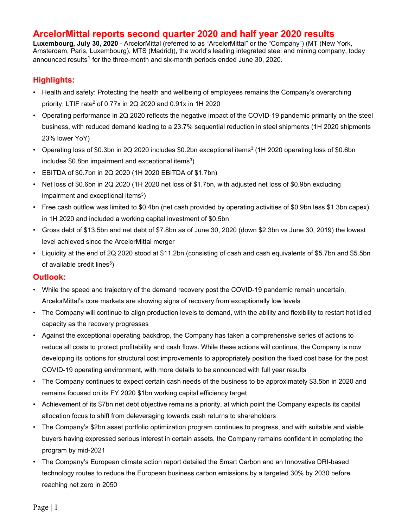# **ArcelorMittal reports second quarter 2020 and half year 2020 results**

**Luxembourg, July 30, 2020** - ArcelorMittal (referred to as "ArcelorMittal" or the "Company") (MT (New York, Amsterdam, Paris, Luxembourg), MTS (Madrid)), the world's leading integrated steel and mining company, today announced results<sup>1</sup> for the three-month and six-month periods ended June 30, 2020.

# **Highlights:**

- Health and safety: Protecting the health and wellbeing of employees remains the Company's overarching priority; LTIF rate2 of 0.77x in 2Q 2020 and 0.91x in 1H 2020
- Operating performance in 2Q 2020 reflects the negative impact of the COVID-19 pandemic primarily on the steel business, with reduced demand leading to a 23.7% sequential reduction in steel shipments (1H 2020 shipments 23% lower YoY)
- Operating loss of \$0.3bn in 2Q 2020 includes \$0.2bn exceptional items<sup>3</sup> (1H 2020 operating loss of \$0.6bn includes  $$0.8$ bn impairment and exceptional items<sup>3</sup>)
- EBITDA of \$0.7bn in 2Q 2020 (1H 2020 EBITDA of \$1.7bn)
- Net loss of \$0.6bn in 2Q 2020 (1H 2020 net loss of \$1.7bn, with adjusted net loss of \$0.9bn excluding impairment and exceptional items $3$ )
- Free cash outflow was limited to \$0.4bn (net cash provided by operating activities of \$0.9bn less \$1.3bn capex) in 1H 2020 and included a working capital investment of \$0.5bn
- Gross debt of \$13.5bn and net debt of \$7.8bn as of June 30, 2020 (down \$2.3bn vs June 30, 2019) the lowest level achieved since the ArcelorMittal merger
- Liquidity at the end of 2Q 2020 stood at \$11.2bn (consisting of cash and cash equivalents of \$5.7bn and \$5.5bn of available credit lines<sup>5</sup>)

# **Outlook:**

- While the speed and trajectory of the demand recovery post the COVID-19 pandemic remain uncertain, ArcelorMittal's core markets are showing signs of recovery from exceptionally low levels
- The Company will continue to align production levels to demand, with the ability and flexibility to restart hot idled capacity as the recovery progresses
- Against the exceptional operating backdrop, the Company has taken a comprehensive series of actions to reduce all costs to protect profitability and cash flows. While these actions will continue, the Company is now developing its options for structural cost improvements to appropriately position the fixed cost base for the post COVID-19 operating environment, with more details to be announced with full year results
- The Company continues to expect certain cash needs of the business to be approximately \$3.5bn in 2020 and remains focused on its FY 2020 \$1bn working capital efficiency target
- Achievement of its \$7bn net debt objective remains a priority, at which point the Company expects its capital allocation focus to shift from deleveraging towards cash returns to shareholders
- The Company's \$2bn asset portfolio optimization program continues to progress, and with suitable and viable buyers having expressed serious interest in certain assets, the Company remains confident in completing the program by mid-2021
- The Company's European climate action report detailed the Smart Carbon and an Innovative DRI-based technology routes to reduce the European business carbon emissions by a targeted 30% by 2030 before reaching net zero in 2050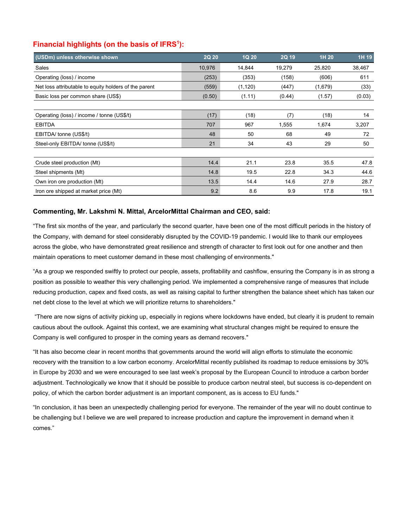# **Financial highlights (on the basis of IFRS1 ):**

| (USDm) unless otherwise shown                         | 2Q 20  | <b>1Q 20</b> | 2Q 19  | 1H 20   | 1H 19  |
|-------------------------------------------------------|--------|--------------|--------|---------|--------|
| Sales                                                 | 10,976 | 14,844       | 19,279 | 25,820  | 38,467 |
| Operating (loss) / income                             | (253)  | (353)        | (158)  | (606)   | 611    |
| Net loss attributable to equity holders of the parent | (559)  | (1, 120)     | (447)  | (1,679) | (33)   |
| Basic loss per common share (US\$)                    | (0.50) | (1.11)       | (0.44) | (1.57)  | (0.03) |
|                                                       |        |              |        |         |        |
| Operating (loss) / income / tonne (US\$/t)            | (17)   | (18)         | (7)    | (18)    | 14     |
| <b>EBITDA</b>                                         | 707    | 967          | 1,555  | 1,674   | 3,207  |
| EBITDA/ tonne (US\$/t)                                | 48     | 50           | 68     | 49      | 72     |
| Steel-only EBITDA/ tonne (US\$/t)                     | 21     | 34           | 43     | 29      | 50     |
|                                                       |        |              |        |         |        |
| Crude steel production (Mt)                           | 14.4   | 21.1         | 23.8   | 35.5    | 47.8   |
| Steel shipments (Mt)                                  | 14.8   | 19.5         | 22.8   | 34.3    | 44.6   |
| Own iron ore production (Mt)                          | 13.5   | 14.4         | 14.6   | 27.9    | 28.7   |
| Iron ore shipped at market price (Mt)                 | 9.2    | 8.6          | 9.9    | 17.8    | 19.1   |

### **Commenting, Mr. Lakshmi N. Mittal, ArcelorMittal Chairman and CEO, said:**

"The first six months of the year, and particularly the second quarter, have been one of the most difficult periods in the history of the Company, with demand for steel considerably disrupted by the COVID-19 pandemic. I would like to thank our employees across the globe, who have demonstrated great resilience and strength of character to first look out for one another and then maintain operations to meet customer demand in these most challenging of environments."

"As a group we responded swiftly to protect our people, assets, profitability and cashflow, ensuring the Company is in as strong a position as possible to weather this very challenging period. We implemented a comprehensive range of measures that include reducing production, capex and fixed costs, as well as raising capital to further strengthen the balance sheet which has taken our net debt close to the level at which we will prioritize returns to shareholders."

"There are now signs of activity picking up, especially in regions where lockdowns have ended, but clearly it is prudent to remain cautious about the outlook. Against this context, we are examining what structural changes might be required to ensure the Company is well configured to prosper in the coming years as demand recovers."

"It has also become clear in recent months that governments around the world will align efforts to stimulate the economic recovery with the transition to a low carbon economy. ArcelorMittal recently published its roadmap to reduce emissions by 30% in Europe by 2030 and we were encouraged to see last week's proposal by the European Council to introduce a carbon border adjustment. Technologically we know that it should be possible to produce carbon neutral steel, but success is co-dependent on policy, of which the carbon border adjustment is an important component, as is access to EU funds."

"In conclusion, it has been an unexpectedly challenging period for everyone. The remainder of the year will no doubt continue to be challenging but I believe we are well prepared to increase production and capture the improvement in demand when it comes."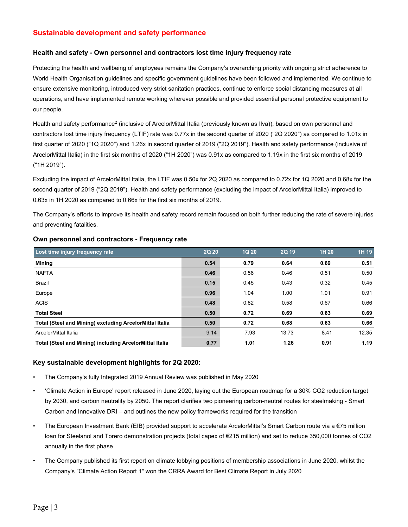## **Sustainable development and safety performance**

### **Health and safety - Own personnel and contractors lost time injury frequency rate**

Protecting the health and wellbeing of employees remains the Company's overarching priority with ongoing strict adherence to World Health Organisation guidelines and specific government guidelines have been followed and implemented. We continue to ensure extensive monitoring, introduced very strict sanitation practices, continue to enforce social distancing measures at all operations, and have implemented remote working wherever possible and provided essential personal protective equipment to our people.

Health and safety performance2 (inclusive of ArcelorMittal Italia (previously known as Ilva)), based on own personnel and contractors lost time injury frequency (LTIF) rate was 0.77x in the second quarter of 2020 ("2Q 2020") as compared to 1.01x in first quarter of 2020 ("1Q 2020") and 1.26x in second quarter of 2019 ("2Q 2019"). Health and safety performance (inclusive of ArcelorMittal Italia) in the first six months of 2020 ("1H 2020") was 0.91x as compared to 1.19x in the first six months of 2019 ("1H 2019").

Excluding the impact of ArcelorMittal Italia, the LTIF was 0.50x for 2Q 2020 as compared to 0.72x for 1Q 2020 and 0.68x for the second quarter of 2019 ("2Q 2019"). Health and safety performance (excluding the impact of ArcelorMittal Italia) improved to 0.63x in 1H 2020 as compared to 0.66x for the first six months of 2019.

The Company's efforts to improve its health and safety record remain focused on both further reducing the rate of severe injuries and preventing fatalities.

| Lost time injury frequency rate                                | 2Q 20 | <b>1Q 20</b> | 2Q 19 | 1H 20 | 1H 19 |
|----------------------------------------------------------------|-------|--------------|-------|-------|-------|
| <b>Mining</b>                                                  | 0.54  | 0.79         | 0.64  | 0.69  | 0.51  |
| <b>NAFTA</b>                                                   | 0.46  | 0.56         | 0.46  | 0.51  | 0.50  |
| Brazil                                                         | 0.15  | 0.45         | 0.43  | 0.32  | 0.45  |
| Europe                                                         | 0.96  | 1.04         | 1.00  | 1.01  | 0.91  |
| <b>ACIS</b>                                                    | 0.48  | 0.82         | 0.58  | 0.67  | 0.66  |
| <b>Total Steel</b>                                             | 0.50  | 0.72         | 0.69  | 0.63  | 0.69  |
| <b>Total (Steel and Mining) excluding ArcelorMittal Italia</b> | 0.50  | 0.72         | 0.68  | 0.63  | 0.66  |
| ArcelorMittal Italia                                           | 9.14  | 7.93         | 13.73 | 8.41  | 12.35 |
| Total (Steel and Mining) including ArcelorMittal Italia        | 0.77  | 1.01         | 1.26  | 0.91  | 1.19  |

### **Own personnel and contractors - Frequency rate**

### **Key sustainable development highlights for 2Q 2020:**

- The Company's fully Integrated 2019 Annual Review was published in May 2020
- 'Climate Action in Europe' report released in June 2020, laying out the European roadmap for a 30% CO2 reduction target by 2030, and carbon neutrality by 2050. The report clarifies two pioneering carbon-neutral routes for steelmaking - Smart Carbon and Innovative DRI – and outlines the new policy frameworks required for the transition
- The European Investment Bank (EIB) provided support to accelerate ArcelorMittal's Smart Carbon route via a  $\epsilon$ 75 million loan for Steelanol and Torero demonstration projects (total capex of €215 million) and set to reduce 350,000 tonnes of CO2 annually in the first phase
- The Company published its first report on climate lobbying positions of membership associations in June 2020, whilst the Company's "Climate Action Report 1" won the CRRA Award for Best Climate Report in July 2020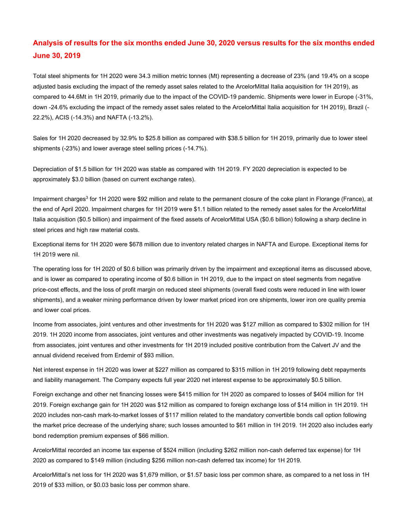# **Analysis of results for the six months ended June 30, 2020 versus results for the six months ended June 30, 2019**

Total steel shipments for 1H 2020 were 34.3 million metric tonnes (Mt) representing a decrease of 23% (and 19.4% on a scope adjusted basis excluding the impact of the remedy asset sales related to the ArcelorMittal Italia acquisition for 1H 2019), as compared to 44.6Mt in 1H 2019, primarily due to the impact of the COVID-19 pandemic. Shipments were lower in Europe (-31%, down -24.6% excluding the impact of the remedy asset sales related to the ArcelorMittal Italia acquisition for 1H 2019), Brazil (- 22.2%), ACIS (-14.3%) and NAFTA (-13.2%).

Sales for 1H 2020 decreased by 32.9% to \$25.8 billion as compared with \$38.5 billion for 1H 2019, primarily due to lower steel shipments (-23%) and lower average steel selling prices (-14.7%).

Depreciation of \$1.5 billion for 1H 2020 was stable as compared with 1H 2019. FY 2020 depreciation is expected to be approximately \$3.0 billion (based on current exchange rates).

Impairment charges<sup>3</sup> for 1H 2020 were \$92 million and relate to the permanent closure of the coke plant in Florange (France), at the end of April 2020. Impairment charges for 1H 2019 were \$1.1 billion related to the remedy asset sales for the ArcelorMittal Italia acquisition (\$0.5 billion) and impairment of the fixed assets of ArcelorMittal USA (\$0.6 billion) following a sharp decline in steel prices and high raw material costs.

Exceptional items for 1H 2020 were \$678 million due to inventory related charges in NAFTA and Europe. Exceptional items for 1H 2019 were nil.

The operating loss for 1H 2020 of \$0.6 billion was primarily driven by the impairment and exceptional items as discussed above, and is lower as compared to operating income of \$0.6 billion in 1H 2019, due to the impact on steel segments from negative price-cost effects, and the loss of profit margin on reduced steel shipments (overall fixed costs were reduced in line with lower shipments), and a weaker mining performance driven by lower market priced iron ore shipments, lower iron ore quality premia and lower coal prices.

Income from associates, joint ventures and other investments for 1H 2020 was \$127 million as compared to \$302 million for 1H 2019. 1H 2020 income from associates, joint ventures and other investments was negatively impacted by COVID-19. Income from associates, joint ventures and other investments for 1H 2019 included positive contribution from the Calvert JV and the annual dividend received from Erdemir of \$93 million.

Net interest expense in 1H 2020 was lower at \$227 million as compared to \$315 million in 1H 2019 following debt repayments and liability management. The Company expects full year 2020 net interest expense to be approximately \$0.5 billion.

Foreign exchange and other net financing losses were \$415 million for 1H 2020 as compared to losses of \$404 million for 1H 2019. Foreign exchange gain for 1H 2020 was \$12 million as compared to foreign exchange loss of \$14 million in 1H 2019. 1H 2020 includes non-cash mark-to-market losses of \$117 million related to the mandatory convertible bonds call option following the market price decrease of the underlying share; such losses amounted to \$61 million in 1H 2019. 1H 2020 also includes early bond redemption premium expenses of \$66 million.

ArcelorMittal recorded an income tax expense of \$524 million (including \$262 million non-cash deferred tax expense) for 1H 2020 as compared to \$149 million (including \$256 million non-cash deferred tax income) for 1H 2019.

ArcelorMittal's net loss for 1H 2020 was \$1,679 million, or \$1.57 basic loss per common share, as compared to a net loss in 1H 2019 of \$33 million, or \$0.03 basic loss per common share.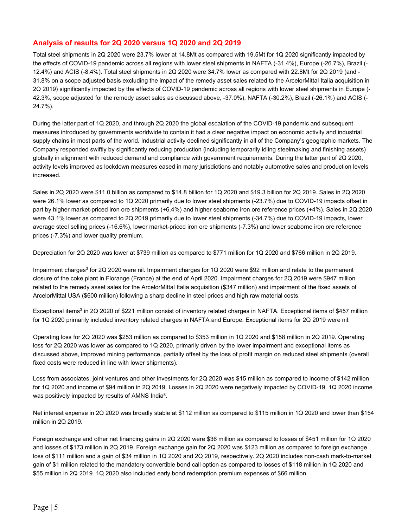### **Analysis of results for 2Q 2020 versus 1Q 2020 and 2Q 2019**

Total steel shipments in 2Q 2020 were 23.7% lower at 14.8Mt as compared with 19.5Mt for 1Q 2020 significantly impacted by the effects of COVID-19 pandemic across all regions with lower steel shipments in NAFTA (-31.4%), Europe (-26.7%), Brazil (- 12.4%) and ACIS (-8.4%). Total steel shipments in 2Q 2020 were 34.7% lower as compared with 22.8Mt for 2Q 2019 (and - 31.8% on a scope adjusted basis excluding the impact of the remedy asset sales related to the ArcelorMittal Italia acquisition in 2Q 2019) significantly impacted by the effects of COVID-19 pandemic across all regions with lower steel shipments in Europe (- 42.3%, scope adjusted for the remedy asset sales as discussed above, -37.0%), NAFTA (-30.2%), Brazil (-26.1%) and ACIS (- 24.7%).

During the latter part of 1Q 2020, and through 2Q 2020 the global escalation of the COVID-19 pandemic and subsequent measures introduced by governments worldwide to contain it had a clear negative impact on economic activity and industrial supply chains in most parts of the world. Industrial activity declined significantly in all of the Company's geographic markets. The Company responded swiftly by significantly reducing production (including temporarily idling steelmaking and finishing assets) globally in alignment with reduced demand and compliance with government requirements. During the latter part of 2Q 2020, activity levels improved as lockdown measures eased in many jurisdictions and notably automotive sales and production levels increased.

Sales in 2Q 2020 were \$11.0 billion as compared to \$14.8 billion for 1Q 2020 and \$19.3 billion for 2Q 2019. Sales in 2Q 2020 were 26.1% lower as compared to 1Q 2020 primarily due to lower steel shipments (-23.7%) due to COVID-19 impacts offset in part by higher market-priced iron ore shipments (+6.4%) and higher seaborne iron ore reference prices (+4%). Sales in 2Q 2020 were 43.1% lower as compared to 2Q 2019 primarily due to lower steel shipments (-34.7%) due to COVID-19 impacts, lower average steel selling prices (-16.6%), lower market-priced iron ore shipments (-7.3%) and lower seaborne iron ore reference prices (-7.3%) and lower quality premium.

Depreciation for 2Q 2020 was lower at \$739 million as compared to \$771 million for 1Q 2020 and \$766 million in 2Q 2019.

Impairment charges<sup>3</sup> for 2Q 2020 were nil. Impairment charges for 1Q 2020 were \$92 million and relate to the permanent closure of the coke plant in Florange (France) at the end of April 2020. Impairment charges for 2Q 2019 were \$947 million related to the remedy asset sales for the ArcelorMittal Italia acquisition (\$347 million) and impairment of the fixed assets of ArcelorMittal USA (\$600 million) following a sharp decline in steel prices and high raw material costs.

Exceptional items<sup>3</sup> in 2Q 2020 of \$221 million consist of inventory related charges in NAFTA. Exceptional items of \$457 million for 1Q 2020 primarily included inventory related charges in NAFTA and Europe. Exceptional items for 2Q 2019 were nil.

Operating loss for 2Q 2020 was \$253 million as compared to \$353 million in 1Q 2020 and \$158 million in 2Q 2019. Operating loss for 2Q 2020 was lower as compared to 1Q 2020, primarily driven by the lower impairment and exceptional items as discussed above, improved mining performance, partially offset by the loss of profit margin on reduced steel shipments (overall fixed costs were reduced in line with lower shipments).

Loss from associates, joint ventures and other investments for 2Q 2020 was \$15 million as compared to income of \$142 million for 1Q 2020 and income of \$94 million in 2Q 2019. Losses in 2Q 2020 were negatively impacted by COVID-19. 1Q 2020 income was positively impacted by results of AMNS India<sup>8</sup>.

Net interest expense in 2Q 2020 was broadly stable at \$112 million as compared to \$115 million in 1Q 2020 and lower than \$154 million in 2Q 2019.

Foreign exchange and other net financing gains in 2Q 2020 were \$36 million as compared to losses of \$451 million for 1Q 2020 and losses of \$173 million in 2Q 2019. Foreign exchange gain for 2Q 2020 was \$123 million as compared to foreign exchange loss of \$111 million and a gain of \$34 million in 1Q 2020 and 2Q 2019, respectively. 2Q 2020 includes non-cash mark-to-market gain of \$1 million related to the mandatory convertible bond call option as compared to losses of \$118 million in 1Q 2020 and \$55 million in 2Q 2019. 1Q 2020 also included early bond redemption premium expenses of \$66 million.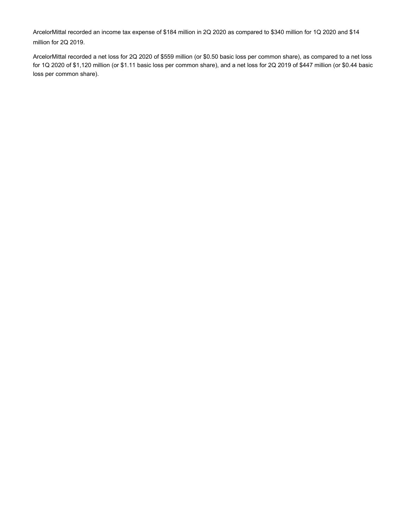ArcelorMittal recorded an income tax expense of \$184 million in 2Q 2020 as compared to \$340 million for 1Q 2020 and \$14 million for 2Q 2019.

ArcelorMittal recorded a net loss for 2Q 2020 of \$559 million (or \$0.50 basic loss per common share), as compared to a net loss for 1Q 2020 of \$1,120 million (or \$1.11 basic loss per common share), and a net loss for 2Q 2019 of \$447 million (or \$0.44 basic loss per common share).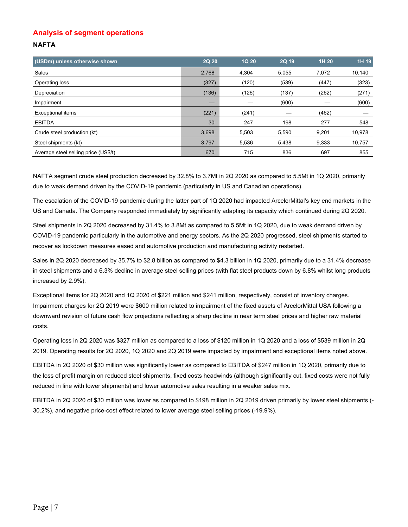# **Analysis of segment operations NAFTA**

| (USDm) unless otherwise shown        | 2Q 20 | 1Q 20 | 2Q 19 | 1H 20 | 1H 19  |
|--------------------------------------|-------|-------|-------|-------|--------|
| Sales                                | 2,768 | 4,304 | 5,055 | 7,072 | 10,140 |
| Operating loss                       | (327) | (120) | (539) | (447) | (323)  |
| Depreciation                         | (136) | (126) | (137) | (262) | (271)  |
| Impairment                           |       |       | (600) |       | (600)  |
| <b>Exceptional items</b>             | (221) | (241) |       | (462) |        |
| <b>EBITDA</b>                        | 30    | 247   | 198   | 277   | 548    |
| Crude steel production (kt)          | 3,698 | 5,503 | 5,590 | 9.201 | 10,978 |
| Steel shipments (kt)                 | 3,797 | 5,536 | 5,438 | 9,333 | 10,757 |
| Average steel selling price (US\$/t) | 670   | 715   | 836   | 697   | 855    |

NAFTA segment crude steel production decreased by 32.8% to 3.7Mt in 2Q 2020 as compared to 5.5Mt in 1Q 2020, primarily due to weak demand driven by the COVID-19 pandemic (particularly in US and Canadian operations).

The escalation of the COVID-19 pandemic during the latter part of 1Q 2020 had impacted ArcelorMittal's key end markets in the US and Canada. The Company responded immediately by significantly adapting its capacity which continued during 2Q 2020.

Steel shipments in 2Q 2020 decreased by 31.4% to 3.8Mt as compared to 5.5Mt in 1Q 2020, due to weak demand driven by COVID-19 pandemic particularly in the automotive and energy sectors. As the 2Q 2020 progressed, steel shipments started to recover as lockdown measures eased and automotive production and manufacturing activity restarted.

Sales in 2Q 2020 decreased by 35.7% to \$2.8 billion as compared to \$4.3 billion in 1Q 2020, primarily due to a 31.4% decrease in steel shipments and a 6.3% decline in average steel selling prices (with flat steel products down by 6.8% whilst long products increased by 2.9%).

Exceptional items for 2Q 2020 and 1Q 2020 of \$221 million and \$241 million, respectively, consist of inventory charges. Impairment charges for 2Q 2019 were \$600 million related to impairment of the fixed assets of ArcelorMittal USA following a downward revision of future cash flow projections reflecting a sharp decline in near term steel prices and higher raw material costs.

Operating loss in 2Q 2020 was \$327 million as compared to a loss of \$120 million in 1Q 2020 and a loss of \$539 million in 2Q 2019. Operating results for 2Q 2020, 1Q 2020 and 2Q 2019 were impacted by impairment and exceptional items noted above.

EBITDA in 2Q 2020 of \$30 million was significantly lower as compared to EBITDA of \$247 million in 1Q 2020, primarily due to the loss of profit margin on reduced steel shipments, fixed costs headwinds (although significantly cut, fixed costs were not fully reduced in line with lower shipments) and lower automotive sales resulting in a weaker sales mix.

EBITDA in 2Q 2020 of \$30 million was lower as compared to \$198 million in 2Q 2019 driven primarily by lower steel shipments (- 30.2%), and negative price-cost effect related to lower average steel selling prices (-19.9%).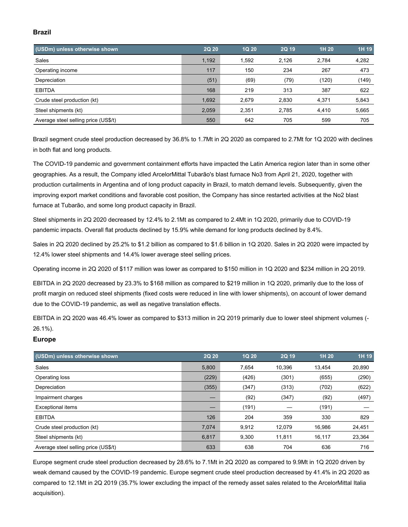### **Brazil**

| (USDm) unless otherwise shown        | <b>2Q 20</b> | <b>1Q 20</b> | 2Q 19 | 1H 20 | 1H 19 |
|--------------------------------------|--------------|--------------|-------|-------|-------|
| Sales                                | 1,192        | 1.592        | 2.126 | 2.784 | 4,282 |
| Operating income                     | 117          | 150          | 234   | 267   | 473   |
| Depreciation                         | (51)         | (69)         | (79)  | (120) | (149) |
| <b>EBITDA</b>                        | 168          | 219          | 313   | 387   | 622   |
| Crude steel production (kt)          | 1,692        | 2.679        | 2.830 | 4.371 | 5,843 |
| Steel shipments (kt)                 | 2,059        | 2.351        | 2.785 | 4.410 | 5,665 |
| Average steel selling price (US\$/t) | 550          | 642          | 705   | 599   | 705   |

Brazil segment crude steel production decreased by 36.8% to 1.7Mt in 2Q 2020 as compared to 2.7Mt for 1Q 2020 with declines in both flat and long products.

The COVID-19 pandemic and government containment efforts have impacted the Latin America region later than in some other geographies. As a result, the Company idled ArcelorMittal Tubarão's blast furnace No3 from April 21, 2020, together with production curtailments in Argentina and of long product capacity in Brazil, to match demand levels. Subsequently, given the improving export market conditions and favorable cost position, the Company has since restarted activities at the No2 blast furnace at Tubarão, and some long product capacity in Brazil.

Steel shipments in 2Q 2020 decreased by 12.4% to 2.1Mt as compared to 2.4Mt in 1Q 2020, primarily due to COVID-19 pandemic impacts. Overall flat products declined by 15.9% while demand for long products declined by 8.4%.

Sales in 2Q 2020 declined by 25.2% to \$1.2 billion as compared to \$1.6 billion in 1Q 2020. Sales in 2Q 2020 were impacted by 12.4% lower steel shipments and 14.4% lower average steel selling prices.

Operating income in 2Q 2020 of \$117 million was lower as compared to \$150 million in 1Q 2020 and \$234 million in 2Q 2019.

EBITDA in 2Q 2020 decreased by 23.3% to \$168 million as compared to \$219 million in 1Q 2020, primarily due to the loss of profit margin on reduced steel shipments (fixed costs were reduced in line with lower shipments), on account of lower demand due to the COVID-19 pandemic, as well as negative translation effects.

EBITDA in 2Q 2020 was 46.4% lower as compared to \$313 million in 2Q 2019 primarily due to lower steel shipment volumes (- 26.1%).

#### **Europe**

| (USDm) unless otherwise shown        | <b>2Q 20</b> | <b>1Q20</b> | 2Q 19  | 1H 20  | 1H 19  |
|--------------------------------------|--------------|-------------|--------|--------|--------|
| Sales                                | 5,800        | 7,654       | 10,396 | 13,454 | 20,890 |
| Operating loss                       | (229)        | (426)       | (301)  | (655)  | (290)  |
| Depreciation                         | (355)        | (347)       | (313)  | (702)  | (622)  |
| Impairment charges                   |              | (92)        | (347)  | (92)   | (497)  |
| <b>Exceptional items</b>             |              | (191)       |        | (191)  |        |
| <b>EBITDA</b>                        | 126          | 204         | 359    | 330    | 829    |
| Crude steel production (kt)          | 7,074        | 9,912       | 12,079 | 16,986 | 24,451 |
| Steel shipments (kt)                 | 6,817        | 9.300       | 11.811 | 16.117 | 23,364 |
| Average steel selling price (US\$/t) | 633          | 638         | 704    | 636    | 716    |

Europe segment crude steel production decreased by 28.6% to 7.1Mt in 2Q 2020 as compared to 9.9Mt in 1Q 2020 driven by weak demand caused by the COVID-19 pandemic. Europe segment crude steel production decreased by 41.4% in 2Q 2020 as compared to 12.1Mt in 2Q 2019 (35.7% lower excluding the impact of the remedy asset sales related to the ArcelorMittal Italia acquisition).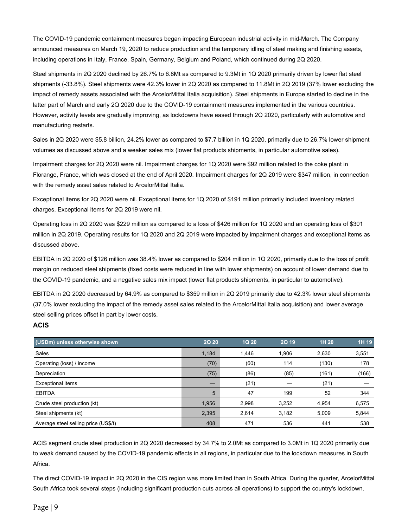The COVID-19 pandemic containment measures began impacting European industrial activity in mid-March. The Company announced measures on March 19, 2020 to reduce production and the temporary idling of steel making and finishing assets, including operations in Italy, France, Spain, Germany, Belgium and Poland, which continued during 2Q 2020.

Steel shipments in 2Q 2020 declined by 26.7% to 6.8Mt as compared to 9.3Mt in 1Q 2020 primarily driven by lower flat steel shipments (-33.8%). Steel shipments were 42.3% lower in 2Q 2020 as compared to 11.8Mt in 2Q 2019 (37% lower excluding the impact of remedy assets associated with the ArcelorMittal Italia acquisition). Steel shipments in Europe started to decline in the latter part of March and early 2Q 2020 due to the COVID-19 containment measures implemented in the various countries. However, activity levels are gradually improving, as lockdowns have eased through 2Q 2020, particularly with automotive and manufacturing restarts.

Sales in 2Q 2020 were \$5.8 billion, 24.2% lower as compared to \$7.7 billion in 1Q 2020, primarily due to 26.7% lower shipment volumes as discussed above and a weaker sales mix (lower flat products shipments, in particular automotive sales).

Impairment charges for 2Q 2020 were nil. Impairment charges for 1Q 2020 were \$92 million related to the coke plant in Florange, France, which was closed at the end of April 2020. Impairment charges for 2Q 2019 were \$347 million, in connection with the remedy asset sales related to ArcelorMittal Italia.

Exceptional items for 2Q 2020 were nil. Exceptional items for 1Q 2020 of \$191 million primarily included inventory related charges. Exceptional items for 2Q 2019 were nil.

Operating loss in 2Q 2020 was \$229 million as compared to a loss of \$426 million for 1Q 2020 and an operating loss of \$301 million in 2Q 2019. Operating results for 1Q 2020 and 2Q 2019 were impacted by impairment charges and exceptional items as discussed above.

EBITDA in 2Q 2020 of \$126 million was 38.4% lower as compared to \$204 million in 1Q 2020, primarily due to the loss of profit margin on reduced steel shipments (fixed costs were reduced in line with lower shipments) on account of lower demand due to the COVID-19 pandemic, and a negative sales mix impact (lower flat products shipments, in particular to automotive).

EBITDA in 2Q 2020 decreased by 64.9% as compared to \$359 million in 2Q 2019 primarily due to 42.3% lower steel shipments (37.0% lower excluding the impact of the remedy asset sales related to the ArcelorMittal Italia acquisition) and lower average steel selling prices offset in part by lower costs.

## **ACIS**

| (USDm) unless otherwise shown        | <b>2Q 20</b> | <b>1Q 20</b> | 2Q 19 | 1H 20 | 1H 19 |
|--------------------------------------|--------------|--------------|-------|-------|-------|
| Sales                                | 1,184        | 1.446        | 1.906 | 2.630 | 3,551 |
| Operating (loss) / income            | (70)         | (60)         | 114   | (130) | 178   |
| Depreciation                         | (75)         | (86)         | (85)  | (161) | (166) |
| <b>Exceptional items</b>             |              | (21)         |       | (21)  |       |
| <b>EBITDA</b>                        | 5            | 47           | 199   | 52    | 344   |
| Crude steel production (kt)          | 1,956        | 2.998        | 3.252 | 4.954 | 6,575 |
| Steel shipments (kt)                 | 2,395        | 2.614        | 3,182 | 5.009 | 5,844 |
| Average steel selling price (US\$/t) | 408          | 471          | 536   | 441   | 538   |

ACIS segment crude steel production in 2Q 2020 decreased by 34.7% to 2.0Mt as compared to 3.0Mt in 1Q 2020 primarily due to weak demand caused by the COVID-19 pandemic effects in all regions, in particular due to the lockdown measures in South Africa.

The direct COVID-19 impact in 2Q 2020 in the CIS region was more limited than in South Africa. During the quarter, ArcelorMittal South Africa took several steps (including significant production cuts across all operations) to support the country's lockdown.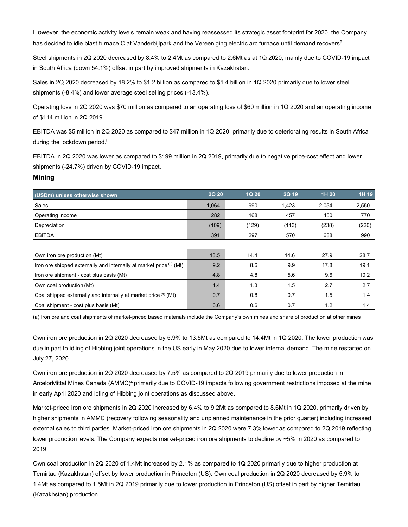However, the economic activity levels remain weak and having reassessed its strategic asset footprint for 2020, the Company has decided to idle blast furnace C at Vanderbijlpark and the Vereeniging electric arc furnace until demand recovers<sup>9</sup>.

Steel shipments in 2Q 2020 decreased by 8.4% to 2.4Mt as compared to 2.6Mt as at 1Q 2020, mainly due to COVID-19 impact in South Africa (down 54.1%) offset in part by improved shipments in Kazakhstan.

Sales in 2Q 2020 decreased by 18.2% to \$1.2 billion as compared to \$1.4 billion in 1Q 2020 primarily due to lower steel shipments (-8.4%) and lower average steel selling prices (-13.4%).

Operating loss in 2Q 2020 was \$70 million as compared to an operating loss of \$60 million in 1Q 2020 and an operating income of \$114 million in 2Q 2019.

EBITDA was \$5 million in 2Q 2020 as compared to \$47 million in 1Q 2020, primarily due to deteriorating results in South Africa during the lockdown period.9

EBITDA in 2Q 2020 was lower as compared to \$199 million in 2Q 2019, primarily due to negative price-cost effect and lower shipments (-24.7%) driven by COVID-19 impact.

#### **Mining**

| (USDm) unless otherwise shown                                       | 2Q 20 | 1Q 20 | 2Q 19 | $1H$ 20 | 1H 19 |
|---------------------------------------------------------------------|-------|-------|-------|---------|-------|
| Sales                                                               | 1,064 | 990   | 1,423 | 2,054   | 2,550 |
| Operating income                                                    | 282   | 168   | 457   | 450     | 770   |
| Depreciation                                                        | (109) | (129) | (113) | (238)   | (220) |
| <b>EBITDA</b>                                                       | 391   | 297   | 570   | 688     | 990   |
|                                                                     |       |       |       |         |       |
| Own iron ore production (Mt)                                        | 13.5  | 14.4  | 14.6  | 27.9    | 28.7  |
| Iron ore shipped externally and internally at market price (a) (Mt) | 9.2   | 8.6   | 9.9   | 17.8    | 19.1  |
| Iron ore shipment - cost plus basis (Mt)                            | 4.8   | 4.8   | 5.6   | 9.6     | 10.2  |
| Own coal production (Mt)                                            | 1.4   | 1.3   | 1.5   | 2.7     | 2.7   |
| Coal shipped externally and internally at market price (a) (Mt)     | 0.7   | 0.8   | 0.7   | 1.5     | 1.4   |
| Coal shipment - cost plus basis (Mt)                                | 0.6   | 0.6   | 0.7   | 1.2     | 1.4   |

(a) Iron ore and coal shipments of market-priced based materials include the Company's own mines and share of production at other mines

Own iron ore production in 2Q 2020 decreased by 5.9% to 13.5Mt as compared to 14.4Mt in 1Q 2020. The lower production was due in part to idling of Hibbing joint operations in the US early in May 2020 due to lower internal demand. The mine restarted on July 27, 2020.

Own iron ore production in 2Q 2020 decreased by 7.5% as compared to 2Q 2019 primarily due to lower production in ArcelorMittal Mines Canada (AMMC)4 primarily due to COVID-19 impacts following government restrictions imposed at the mine in early April 2020 and idling of Hibbing joint operations as discussed above.

Market-priced iron ore shipments in 2Q 2020 increased by 6.4% to 9.2Mt as compared to 8.6Mt in 1Q 2020, primarily driven by higher shipments in AMMC (recovery following seasonality and unplanned maintenance in the prior quarter) including increased external sales to third parties. Market-priced iron ore shipments in 2Q 2020 were 7.3% lower as compared to 2Q 2019 reflecting lower production levels. The Company expects market-priced iron ore shipments to decline by ~5% in 2020 as compared to 2019.

Own coal production in 2Q 2020 of 1.4Mt increased by 2.1% as compared to 1Q 2020 primarily due to higher production at Temirtau (Kazakhstan) offset by lower production in Princeton (US). Own coal production in 2Q 2020 decreased by 5.9% to 1.4Mt as compared to 1.5Mt in 2Q 2019 primarily due to lower production in Princeton (US) offset in part by higher Temirtau (Kazakhstan) production.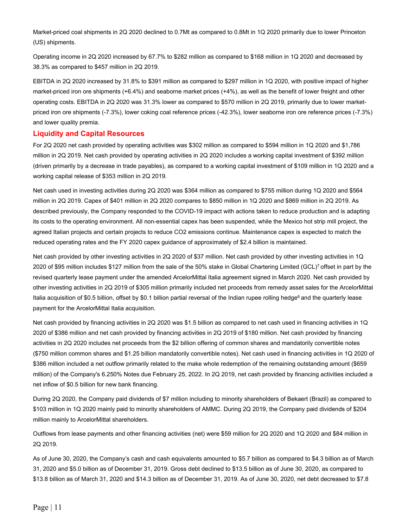Market-priced coal shipments in 2Q 2020 declined to 0.7Mt as compared to 0.8Mt in 1Q 2020 primarily due to lower Princeton (US) shipments.

Operating income in 2Q 2020 increased by 67.7% to \$282 million as compared to \$168 million in 1Q 2020 and decreased by 38.3% as compared to \$457 million in 2Q 2019.

EBITDA in 2Q 2020 increased by 31.8% to \$391 million as compared to \$297 million in 1Q 2020, with positive impact of higher market-priced iron ore shipments (+6.4%) and seaborne market prices (+4%), as well as the benefit of lower freight and other operating costs. EBITDA in 2Q 2020 was 31.3% lower as compared to \$570 million in 2Q 2019, primarily due to lower marketpriced iron ore shipments (-7.3%), lower coking coal reference prices (-42.3%), lower seaborne iron ore reference prices (-7.3%) and lower quality premia.

## **Liquidity and Capital Resources**

For 2Q 2020 net cash provided by operating activities was \$302 million as compared to \$594 million in 1Q 2020 and \$1,786 million in 2Q 2019. Net cash provided by operating activities in 2Q 2020 includes a working capital investment of \$392 million (driven primarily by a decrease in trade payables), as compared to a working capital investment of \$109 million in 1Q 2020 and a working capital release of \$353 million in 2Q 2019.

Net cash used in investing activities during 2Q 2020 was \$364 million as compared to \$755 million during 1Q 2020 and \$564 million in 2Q 2019. Capex of \$401 million in 2Q 2020 compares to \$850 million in 1Q 2020 and \$869 million in 2Q 2019. As described previously, the Company responded to the COVID-19 impact with actions taken to reduce production and is adapting its costs to the operating environment. All non-essential capex has been suspended, while the Mexico hot strip mill project, the agreed Italian projects and certain projects to reduce CO2 emissions continue. Maintenance capex is expected to match the reduced operating rates and the FY 2020 capex guidance of approximately of \$2.4 billion is maintained.

Net cash provided by other investing activities in 2Q 2020 of \$37 million. Net cash provided by other investing activities in 1Q 2020 of \$95 million includes \$127 million from the sale of the 50% stake in Global Chartering Limited (GCL)7 offset in part by the revised quarterly lease payment under the amended ArcelorMittal Italia agreement signed in March 2020. Net cash provided by other investing activities in 2Q 2019 of \$305 million primarily included net proceeds from remedy asset sales for the ArcelorMittal Italia acquisition of \$0.5 billion, offset by \$0.1 billion partial reversal of the Indian rupee rolling hedge<sup>6</sup> and the quarterly lease payment for the ArcelorMittal Italia acquisition.

Net cash provided by financing activities in 2Q 2020 was \$1.5 billion as compared to net cash used in financing activities in 1Q 2020 of \$386 million and net cash provided by financing activities in 2Q 2019 of \$180 million. Net cash provided by financing activities in 2Q 2020 includes net proceeds from the \$2 billion offering of common shares and mandatorily convertible notes (\$750 million common shares and \$1.25 billion mandatorily convertible notes). Net cash used in financing activities in 1Q 2020 of \$386 million included a net outflow primarily related to the make whole redemption of the remaining outstanding amount (\$659 million) of the Company's 6.250% Notes due February 25, 2022. In 2Q 2019, net cash provided by financing activities included a net inflow of \$0.5 billion for new bank financing.

During 2Q 2020, the Company paid dividends of \$7 million including to minority shareholders of Bekaert (Brazil) as compared to \$103 million in 1Q 2020 mainly paid to minority shareholders of AMMC. During 2Q 2019, the Company paid dividends of \$204 million mainly to ArcelorMittal shareholders.

Outflows from lease payments and other financing activities (net) were \$59 million for 2Q 2020 and 1Q 2020 and \$84 million in 2Q 2019.

As of June 30, 2020, the Company's cash and cash equivalents amounted to \$5.7 billion as compared to \$4.3 billion as of March 31, 2020 and \$5.0 billion as of December 31, 2019. Gross debt declined to \$13.5 billion as of June 30, 2020, as compared to \$13.8 billion as of March 31, 2020 and \$14.3 billion as of December 31, 2019. As of June 30, 2020, net debt decreased to \$7.8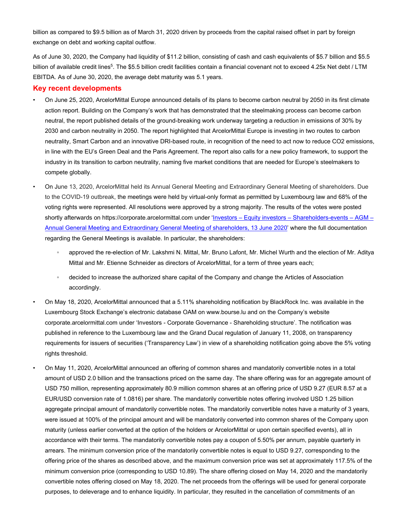billion as compared to \$9.5 billion as of March 31, 2020 driven by proceeds from the capital raised offset in part by foreign exchange on debt and working capital outflow.

As of June 30, 2020, the Company had liquidity of \$11.2 billion, consisting of cash and cash equivalents of \$5.7 billion and \$5.5 billion of available credit lines<sup>5</sup>. The \$5.5 billion credit facilities contain a financial covenant not to exceed 4.25x Net debt / LTM EBITDA. As of June 30, 2020, the average debt maturity was 5.1 years.

### **Key recent developments**

- On June 25, 2020, ArcelorMittal Europe announced details of its plans to become carbon neutral by 2050 in its first climate action report. Building on the Company's work that has demonstrated that the steelmaking process can become carbon neutral, the report published details of the ground-breaking work underway targeting a reduction in emissions of 30% by 2030 and carbon neutrality in 2050. The report highlighted that ArcelorMittal Europe is investing in two routes to carbon neutrality, Smart Carbon and an innovative DRI-based route, in recognition of the need to act now to reduce CO2 emissions, in line with the EU's Green Deal and the Paris Agreement. The report also calls for a new policy framework, to support the industry in its transition to carbon neutrality, naming five market conditions that are needed for Europe's steelmakers to compete globally.
- On June 13, 2020, ArcelorMittal held its Annual General Meeting and Extraordinary General Meeting of shareholders. Due to the COVID-19 outbreak, the meetings were held by virtual-only format as permitted by Luxembourg law and 68% of the voting rights were represented. All resolutions were approved by a strong majority. The results of the votes were posted shortly afterwards [on https://corporate.arcelormittal.com](https://corporate.arcelormittal.com/) under 'Investors – Equity investors – [Shareholders-events –](https://corporate.arcelormittal.com/investors/equity-investors/shareholders-events/agm) AGM – [Annual General Meeting and Extraordinary General Meeting of shareholders,](https://corporate.arcelormittal.com/investors/equity-investors/shareholders-events/agm) [13 June 2020'](https://corporate.arcelormittal.com/investors/equity-investors/shareholders-events/agm) where the full documentation regarding the General Meetings is available. In particular, the shareholders:
	- approved the re-election of Mr. Lakshmi N. Mittal, Mr. Bruno Lafont, Mr. Michel Wurth and the election of Mr. Aditya Mittal and Mr. Etienne Schneider as directors of ArcelorMittal, for a term of three years each;
	- decided to increase the authorized share capital of the Company and change the Articles of Association accordingly.
- On May 18, 2020, ArcelorMittal announced that a 5.11% shareholding notification by BlackRock Inc. was available in the Luxembourg Stock Exchange's electronic database OAM on www.bourse.lu and on the Company's website corporate.arcelormittal.com under 'Investors - Corporate Governance - Shareholding structure'. The notification was published in reference to the Luxembourg law and the Grand Ducal regulation of January 11, 2008, on transparency requirements for issuers of securities ('Transparency Law') in view of a shareholding notification going above the 5% voting rights threshold.
- On May 11, 2020, ArcelorMittal announced an offering of common shares and mandatorily convertible notes in a total amount of USD 2.0 billion and the transactions priced on the same day. The share offering was for an aggregate amount of USD 750 million, representing approximately 80.9 million common shares at an offering price of USD 9.27 (EUR 8.57 at a EUR/USD conversion rate of 1.0816) per share. The mandatorily convertible notes offering involved USD 1.25 billion aggregate principal amount of mandatorily convertible notes. The mandatorily convertible notes have a maturity of 3 years, were issued at 100% of the principal amount and will be mandatorily converted into common shares of the Company upon maturity (unless earlier converted at the option of the holders or ArcelorMittal or upon certain specified events), all in accordance with their terms. The mandatorily convertible notes pay a coupon of 5.50% per annum, payable quarterly in arrears. The minimum conversion price of the mandatorily convertible notes is equal to USD 9.27, corresponding to the offering price of the shares as described above, and the maximum conversion price was set at approximately 117.5% of the minimum conversion price (corresponding to USD 10.89). The share offering closed on May 14, 2020 and the mandatorily convertible notes offering closed on May 18, 2020. The net proceeds from the offerings will be used for general corporate purposes, to deleverage and to enhance liquidity. In particular, they resulted in the cancellation of commitments of an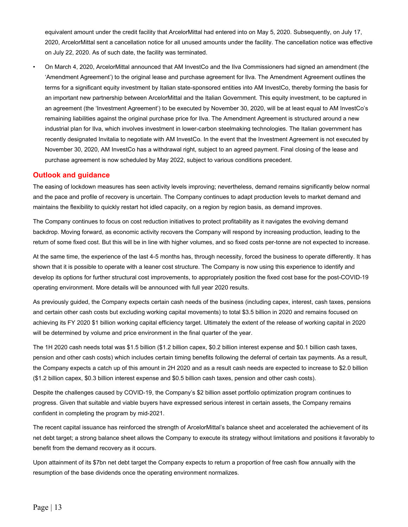equivalent amount under the credit facility that ArcelorMittal had entered into on May 5, 2020. Subsequently, on July 17, 2020, ArcelorMittal sent a cancellation notice for all unused amounts under the facility. The cancellation notice was effective on July 22, 2020. As of such date, the facility was terminated.

• On March 4, 2020, ArcelorMittal announced that AM InvestCo and the Ilva Commissioners had signed an amendment (the 'Amendment Agreement') to the original lease and purchase agreement for Ilva. The Amendment Agreement outlines the terms for a significant equity investment by Italian state-sponsored entities into AM InvestCo, thereby forming the basis for an important new partnership between ArcelorMittal and the Italian Government. This equity investment, to be captured in an agreement (the 'Investment Agreement') to be executed by November 30, 2020, will be at least equal to AM InvestCo's remaining liabilities against the original purchase price for Ilva. The Amendment Agreement is structured around a new industrial plan for Ilva, which involves investment in lower-carbon steelmaking technologies. The Italian government has recently designated Invitalia to negotiate with AM InvestCo. In the event that the Investment Agreement is not executed by November 30, 2020, AM InvestCo has a withdrawal right, subject to an agreed payment. Final closing of the lease and purchase agreement is now scheduled by May 2022, subject to various conditions precedent.

#### **Outlook and guidance**

The easing of lockdown measures has seen activity levels improving; nevertheless, demand remains significantly below normal and the pace and profile of recovery is uncertain. The Company continues to adapt production levels to market demand and maintains the flexibility to quickly restart hot idled capacity, on a region by region basis, as demand improves.

The Company continues to focus on cost reduction initiatives to protect profitability as it navigates the evolving demand backdrop. Moving forward, as economic activity recovers the Company will respond by increasing production, leading to the return of some fixed cost. But this will be in line with higher volumes, and so fixed costs per-tonne are not expected to increase.

At the same time, the experience of the last 4-5 months has, through necessity, forced the business to operate differently. It has shown that it is possible to operate with a leaner cost structure. The Company is now using this experience to identify and develop its options for further structural cost improvements, to appropriately position the fixed cost base for the post-COVID-19 operating environment. More details will be announced with full year 2020 results.

As previously guided, the Company expects certain cash needs of the business (including capex, interest, cash taxes, pensions and certain other cash costs but excluding working capital movements) to total \$3.5 billion in 2020 and remains focused on achieving its FY 2020 \$1 billion working capital efficiency target. Ultimately the extent of the release of working capital in 2020 will be determined by volume and price environment in the final quarter of the year.

The 1H 2020 cash needs total was \$1.5 billion (\$1.2 billion capex, \$0.2 billion interest expense and \$0.1 billion cash taxes, pension and other cash costs) which includes certain timing benefits following the deferral of certain tax payments. As a result, the Company expects a catch up of this amount in 2H 2020 and as a result cash needs are expected to increase to \$2.0 billion (\$1.2 billion capex, \$0.3 billion interest expense and \$0.5 billion cash taxes, pension and other cash costs).

Despite the challenges caused by COVID-19, the Company's \$2 billion asset portfolio optimization program continues to progress. Given that suitable and viable buyers have expressed serious interest in certain assets, the Company remains confident in completing the program by mid-2021.

The recent capital issuance has reinforced the strength of ArcelorMittal's balance sheet and accelerated the achievement of its net debt target; a strong balance sheet allows the Company to execute its strategy without limitations and positions it favorably to benefit from the demand recovery as it occurs.

Upon attainment of its \$7bn net debt target the Company expects to return a proportion of free cash flow annually with the resumption of the base dividends once the operating environment normalizes.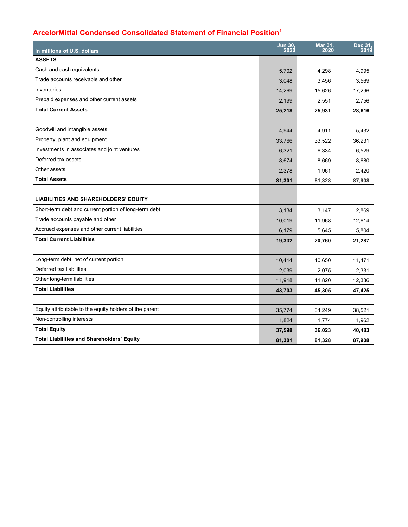# **ArcelorMittal Condensed Consolidated Statement of Financial Position<sup>1</sup>**

| In millions of U.S. dollars                             | <b>Jun 30.</b><br>2020 | Mar 31,<br>2020 | Dec 31,<br>2019 |
|---------------------------------------------------------|------------------------|-----------------|-----------------|
| <b>ASSETS</b>                                           |                        |                 |                 |
| Cash and cash equivalents                               | 5,702                  | 4,298           | 4,995           |
| Trade accounts receivable and other                     | 3,048                  | 3,456           | 3,569           |
| Inventories                                             | 14,269                 | 15,626          | 17,296          |
| Prepaid expenses and other current assets               | 2,199                  | 2,551           | 2,756           |
| <b>Total Current Assets</b>                             | 25,218                 | 25,931          | 28,616          |
|                                                         |                        |                 |                 |
| Goodwill and intangible assets                          | 4,944                  | 4,911           | 5.432           |
| Property, plant and equipment                           | 33,766                 | 33,522          | 36,231          |
| Investments in associates and joint ventures            | 6,321                  | 6,334           | 6,529           |
| Deferred tax assets                                     | 8,674                  | 8.669           | 8,680           |
| Other assets                                            | 2,378                  | 1,961           | 2,420           |
| <b>Total Assets</b>                                     | 81,301                 | 81,328          | 87,908          |
|                                                         |                        |                 |                 |
| <b>LIABILITIES AND SHAREHOLDERS' EQUITY</b>             |                        |                 |                 |
| Short-term debt and current portion of long-term debt   | 3,134                  | 3,147           | 2,869           |
| Trade accounts payable and other                        | 10,019                 | 11,968          | 12,614          |
| Accrued expenses and other current liabilities          | 6,179                  | 5,645           | 5,804           |
| <b>Total Current Liabilities</b>                        | 19,332                 | 20,760          | 21,287          |
|                                                         |                        |                 |                 |
| Long-term debt, net of current portion                  | 10,414                 | 10,650          | 11,471          |
| Deferred tax liabilities                                | 2,039                  | 2,075           | 2,331           |
| Other long-term liabilities                             | 11,918                 | 11,820          | 12,336          |
| <b>Total Liabilities</b>                                | 43,703                 | 45,305          | 47,425          |
|                                                         |                        |                 |                 |
| Equity attributable to the equity holders of the parent | 35,774                 | 34,249          | 38,521          |
| Non-controlling interests                               | 1,824                  | 1,774           | 1,962           |
| <b>Total Equity</b>                                     | 37,598                 | 36,023          | 40,483          |
| <b>Total Liabilities and Shareholders' Equity</b>       | 81,301                 | 81,328          | 87,908          |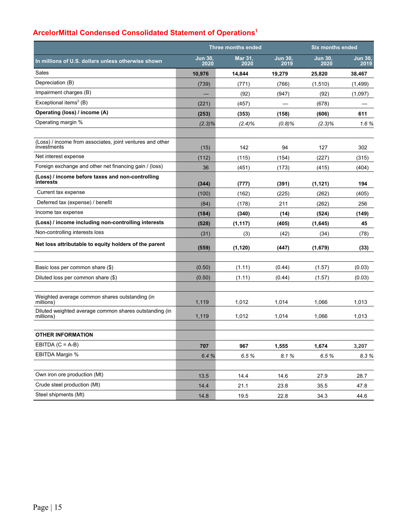# **ArcelorMittal Condensed Consolidated Statement of Operations<sup>1</sup>**

|                                                                          |                        | <b>Three months ended</b> | <b>Six months ended</b> |                        |                        |
|--------------------------------------------------------------------------|------------------------|---------------------------|-------------------------|------------------------|------------------------|
| In millions of U.S. dollars unless otherwise shown                       | <b>Jun 30,</b><br>2020 | <b>Mar 31.</b><br>2020    | <b>Jun 30,</b><br>2019  | <b>Jun 30.</b><br>2020 | <b>Jun 30,</b><br>2019 |
| Sales                                                                    | 10,976                 | 14,844                    | 19,279                  | 25,820                 | 38,467                 |
| Depreciation (B)                                                         | (739)                  | (771)                     | (766)                   | (1, 510)               | (1, 499)               |
| Impairment charges (B)                                                   |                        | (92)                      | (947)                   | (92)                   | (1,097)                |
| Exceptional items $3$ (B)                                                | (221)                  | (457)                     |                         | (678)                  |                        |
| Operating (loss) / income (A)                                            | (253)                  | (353)                     | (158)                   | (606)                  | 611                    |
| Operating margin %                                                       | $(2.3)\%$              | $(2.4)\%$                 | (0.8)%                  | $(2.3)\%$              | 1.6%                   |
| (Loss) / income from associates, joint ventures and other<br>investments | (15)                   | 142                       | 94                      | 127                    | 302                    |
| Net interest expense                                                     | (112)                  | (115)                     | (154)                   | (227)                  | (315)                  |
| Foreign exchange and other net financing gain / (loss)                   | 36                     | (451)                     | (173)                   | (415)                  | (404)                  |
| (Loss) / income before taxes and non-controlling<br>interests            | (344)                  | (777)                     | (391)                   | (1, 121)               | 194                    |
| Current tax expense                                                      | (100)                  | (162)                     | (225)                   | (262)                  | (405)                  |
| Deferred tax (expense) / benefit                                         | (84)                   | (178)                     | 211                     | (262)                  | 256                    |
| Income tax expense                                                       | (184)                  | (340)                     | (14)                    | (524)                  | (149)                  |
| (Loss) / income including non-controlling interests                      | (528)                  | (1, 117)                  | (405)                   | (1,645)                | 45                     |
| Non-controlling interests loss                                           | (31)                   | (3)                       | (42)                    | (34)                   | (78)                   |
| Net loss attributable to equity holders of the parent                    | (559)                  | (1, 120)                  | (447)                   | (1,679)                | (33)                   |
| Basic loss per common share (\$)                                         | (0.50)                 | (1.11)                    | (0.44)                  | (1.57)                 | (0.03)                 |
| Diluted loss per common share (\$)                                       | (0.50)                 | (1.11)                    | (0.44)                  | (1.57)                 | (0.03)                 |
|                                                                          |                        |                           |                         |                        |                        |
| Weighted average common shares outstanding (in<br>millions)              | 1,119                  | 1.012                     | 1,014                   | 1,066                  | 1.013                  |
| Diluted weighted average common shares outstanding (in<br>millions)      | 1,119                  | 1,012                     | 1,014                   | 1,066                  | 1.013                  |
|                                                                          |                        |                           |                         |                        |                        |
| <b>OTHER INFORMATION</b>                                                 |                        |                           |                         |                        |                        |
| EBITDA $(C = A-B)$                                                       | 707                    | 967                       | 1,555                   | 1,674                  | 3,207                  |
| EBITDA Margin %                                                          | 6.4%                   | 6.5%                      | 8.1%                    | 6.5%                   | 8.3%                   |
|                                                                          |                        |                           |                         |                        |                        |
| Own iron ore production (Mt)                                             | 13.5                   | 14.4                      | 14.6                    | 27.9                   | 28.7                   |
| Crude steel production (Mt)                                              | 14.4                   | 21.1                      | 23.8                    | 35.5                   | 47.8                   |
| Steel shipments (Mt)                                                     | 14.8                   | 19.5                      | 22.8                    | 34.3                   | 44.6                   |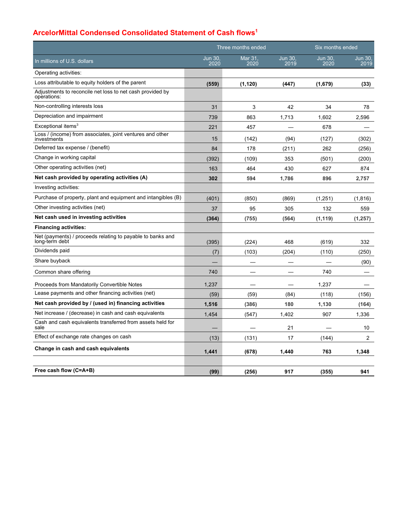# **ArcelorMittal Condensed Consolidated Statement of Cash flows<sup>1</sup>**

|                                                                              | Three months ended |                 |                        | Six months ended       |                 |
|------------------------------------------------------------------------------|--------------------|-----------------|------------------------|------------------------|-----------------|
| In millions of U.S. dollars                                                  | Jun 30,<br>2020    | Mar 31,<br>2020 | <b>Jun 30,</b><br>2019 | <b>Jun 30.</b><br>2020 | Jun 30,<br>2019 |
| Operating activities:                                                        |                    |                 |                        |                        |                 |
| Loss attributable to equity holders of the parent                            | (559)              | (1, 120)        | (447)                  | (1,679)                | (33)            |
| Adjustments to reconcile net loss to net cash provided by<br>operations:     |                    |                 |                        |                        |                 |
| Non-controlling interests loss                                               | 31                 | 3               | 42                     | 34                     | 78              |
| Depreciation and impairment                                                  | 739                | 863             | 1.713                  | 1,602                  | 2.596           |
| Exceptional items <sup>3</sup>                                               | 221                | 457             |                        | 678                    |                 |
| Loss / (income) from associates, joint ventures and other<br>investments     | 15                 | (142)           | (94)                   | (127)                  | (302)           |
| Deferred tax expense / (benefit)                                             | 84                 | 178             | (211)                  | 262                    | (256)           |
| Change in working capital                                                    | (392)              | (109)           | 353                    | (501)                  | (200)           |
| Other operating activities (net)                                             | 163                | 464             | 430                    | 627                    | 874             |
| Net cash provided by operating activities (A)                                | 302                | 594             | 1,786                  | 896                    | 2,757           |
| Investing activities:                                                        |                    |                 |                        |                        |                 |
| Purchase of property, plant and equipment and intangibles (B)                | (401)              | (850)           | (869)                  | (1,251)                | (1, 816)        |
| Other investing activities (net)                                             | 37                 | 95              | 305                    | 132                    | 559             |
| Net cash used in investing activities                                        | (364)              | (755)           | (564)                  | (1, 119)               | (1, 257)        |
| <b>Financing activities:</b>                                                 |                    |                 |                        |                        |                 |
| Net (payments) / proceeds relating to payable to banks and<br>long-term debt | (395)              | (224)           | 468                    | (619)                  | 332             |
| Dividends paid                                                               | (7)                | (103)           | (204)                  | (110)                  | (250)           |
| Share buyback                                                                |                    |                 |                        |                        | (90)            |
| Common share offering                                                        | 740                |                 |                        | 740                    |                 |
| Proceeds from Mandatorily Convertible Notes                                  | 1,237              |                 |                        | 1,237                  |                 |
| Lease payments and other financing activities (net)                          | (59)               | (59)            | (84)                   | (118)                  | (156)           |
| Net cash provided by / (used in) financing activities                        | 1,516              | (386)           | 180                    | 1,130                  | (164)           |
| Net increase / (decrease) in cash and cash equivalents                       | 1,454              | (547)           | 1,402                  | 907                    | 1,336           |
| Cash and cash equivalents transferred from assets held for<br>sale           |                    |                 | 21                     |                        | 10              |
| Effect of exchange rate changes on cash                                      | (13)               | (131)           | 17                     | (144)                  | $\overline{2}$  |
| Change in cash and cash equivalents                                          | 1,441              | (678)           | 1,440                  | 763                    | 1,348           |
|                                                                              |                    |                 |                        |                        |                 |
| Free cash flow (C=A+B)                                                       | (99)               | (256)           | 917                    | (355)                  | 941             |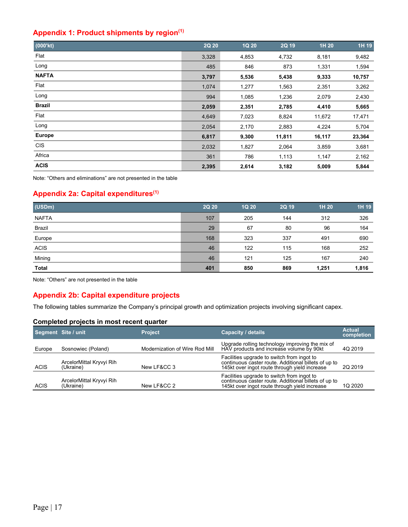# **Appendix 1: Product shipments by region(1)**

| (000'kt)      | <b>2Q 20</b> | 1Q 20 | 2Q 19  | 1H 20  | 1H 19  |
|---------------|--------------|-------|--------|--------|--------|
| Flat          | 3,328        | 4,853 | 4,732  | 8,181  | 9,482  |
| Long          | 485          | 846   | 873    | 1,331  | 1,594  |
| <b>NAFTA</b>  | 3,797        | 5,536 | 5,438  | 9,333  | 10,757 |
| Flat          | 1,074        | 1,277 | 1,563  | 2,351  | 3,262  |
| Long          | 994          | 1,085 | 1,236  | 2,079  | 2,430  |
| <b>Brazil</b> | 2,059        | 2,351 | 2,785  | 4,410  | 5,665  |
| Flat          | 4,649        | 7,023 | 8,824  | 11,672 | 17,471 |
| Long          | 2,054        | 2,170 | 2,883  | 4,224  | 5,704  |
| <b>Europe</b> | 6,817        | 9,300 | 11,811 | 16,117 | 23,364 |
| <b>CIS</b>    | 2,032        | 1,827 | 2,064  | 3,859  | 3,681  |
| Africa        | 361          | 786   | 1,113  | 1,147  | 2,162  |
| <b>ACIS</b>   | 2,395        | 2,614 | 3,182  | 5,009  | 5,844  |

Note: "Others and eliminations" are not presented in the table

# **Appendix 2a: Capital expenditures(1)**

| (USDm)       | 2Q 20 | 1Q 20 | 2Q 19 | 1H 20 | 1H 19 |
|--------------|-------|-------|-------|-------|-------|
| <b>NAFTA</b> | 107   | 205   | 144   | 312   | 326   |
| Brazil       | 29    | 67    | 80    | 96    | 164   |
| Europe       | 168   | 323   | 337   | 491   | 690   |
| <b>ACIS</b>  | 46    | 122   | 115   | 168   | 252   |
| Mining       | 46    | 121   | 125   | 167   | 240   |
| <b>Total</b> | 401   | 850   | 869   | 1,251 | 1,816 |

Note: "Others" are not presented in the table

# **Appendix 2b: Capital expenditure projects**

The following tables summarize the Company's principal growth and optimization projects involving significant capex.

### **Completed projects in most recent quarter**

|             | Segment Site / unit                   | <b>Project</b>                 | <b>Capacity / details</b>                                                                                                                           | <b>Actual</b><br>completion |
|-------------|---------------------------------------|--------------------------------|-----------------------------------------------------------------------------------------------------------------------------------------------------|-----------------------------|
| Europe      | Sosnowiec (Poland)                    | Modernization of Wire Rod Mill | Upgrade rolling technology improving the mix of<br>HAV products and increase volume by 90kt                                                         | 4Q 2019                     |
| <b>ACIS</b> | ArcelorMittal Kryvyi Rih<br>(Ukraine) | New LF&CC 3                    | Facilities upgrade to switch from ingot to<br>continuous caster route. Additional billets of up to<br>145kt over ingot route through yield increase | 2Q 2019                     |
| <b>ACIS</b> | ArcelorMittal Kryvyi Rih<br>(Ukraine) | New LF&CC 2                    | Facilities upgrade to switch from ingot to<br>continuous caster route. Additional billets of up to<br>145kt over ingot route through yield increase | 1Q 2020                     |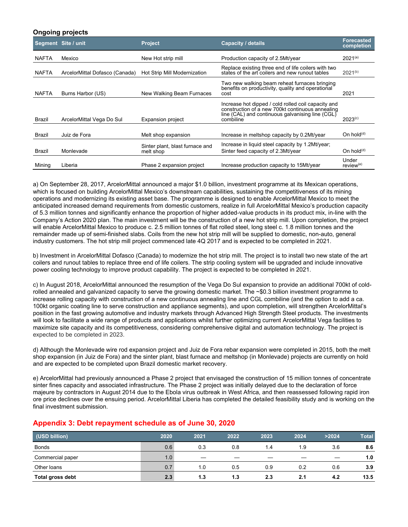#### **Ongoing projects**

|              | Segment Site / unit            | Capacity / details<br><b>Project</b>         |                                                                                                                                                                          | <b>Forecasted</b><br>completion |
|--------------|--------------------------------|----------------------------------------------|--------------------------------------------------------------------------------------------------------------------------------------------------------------------------|---------------------------------|
| <b>NAFTA</b> | Mexico                         | New Hot strip mill                           | Production capacity of 2.5Mt/year                                                                                                                                        | $2021^{(a)}$                    |
| <b>NAFTA</b> | ArcelorMittal Dofasco (Canada) | Hot Strip Mill Modernization                 | Replace existing three end of life coilers with two<br>states of the art coilers and new runout tables                                                                   | $2021^{(b)}$                    |
| <b>NAFTA</b> | Burns Harbor (US)              | New Walking Beam Furnaces                    | Two new walking beam reheat furnaces bringing<br>benefits on productivity, quality and operational<br>cost                                                               | 2021                            |
| Brazil       | ArcelorMittal Vega Do Sul      | <b>Expansion project</b>                     | Increase hot dipped / cold rolled coil capacity and<br>construction of a new 700kt continuous annealing<br>line (CAL) and continuous galvanising line (CGL)<br>combiline | $2023^{(c)}$                    |
| Brazil       | Juiz de Fora                   | Melt shop expansion                          | Increase in meltshop capacity by 0.2Mt/year                                                                                                                              | On hold $(d)$                   |
| Brazil       | Monlevade                      | Sinter plant, blast furnace and<br>melt shop | Increase in liquid steel capacity by 1.2Mt/year;<br>Sinter feed capacity of 2.3Mt/year                                                                                   | On hold $(d)$                   |
| Mining       | Liberia                        | Phase 2 expansion project                    | Increase production capacity to 15Mt/year                                                                                                                                | Under<br>$review^{(e)}$         |

a) On September 28, 2017, ArcelorMittal announced a major \$1.0 billion, investment programme at its Mexican operations, which is focused on building ArcelorMittal Mexico's downstream capabilities, sustaining the competitiveness of its mining operations and modernizing its existing asset base. The programme is designed to enable ArcelorMittal Mexico to meet the anticipated increased demand requirements from domestic customers, realize in full ArcelorMittal Mexico's production capacity of 5.3 million tonnes and significantly enhance the proportion of higher added-value products in its product mix, in-line with the Company's Action 2020 plan. The main investment will be the construction of a new hot strip mill. Upon completion, the project will enable ArcelorMittal Mexico to produce c. 2.5 million tonnes of flat rolled steel, long steel c. 1.8 million tonnes and the remainder made up of semi-finished slabs. Coils from the new hot strip mill will be supplied to domestic, non-auto, general industry customers. The hot strip mill project commenced late 4Q 2017 and is expected to be completed in 2021.

b) Investment in ArcelorMittal Dofasco (Canada) to modernize the hot strip mill. The project is to install two new state of the art coilers and runout tables to replace three end of life coilers. The strip cooling system will be upgraded and include innovative power cooling technology to improve product capability. The project is expected to be completed in 2021.

c) In August 2018, ArcelorMittal announced the resumption of the Vega Do Sul expansion to provide an additional 700kt of coldrolled annealed and galvanized capacity to serve the growing domestic market. The ~\$0.3 billion investment programme to increase rolling capacity with construction of a new continuous annealing line and CGL combiline (and the option to add a ca. 100kt organic coating line to serve construction and appliance segments), and upon completion, will strengthen ArcelorMittal's position in the fast growing automotive and industry markets through Advanced High Strength Steel products. The investments will look to facilitate a wide range of products and applications whilst further optimizing current ArcelorMittal Vega facilities to maximize site capacity and its competitiveness, considering comprehensive digital and automation technology. The project is expected to be completed in 2023.

d) Although the Monlevade wire rod expansion project and Juiz de Fora rebar expansion were completed in 2015, both the melt shop expansion (in Juiz de Fora) and the sinter plant, blast furnace and meltshop (in Monlevade) projects are currently on hold and are expected to be completed upon Brazil domestic market recovery.

e) ArcelorMittal had previously announced a Phase 2 project that envisaged the construction of 15 million tonnes of concentrate sinter fines capacity and associated infrastructure. The Phase 2 project was initially delayed due to the declaration of force majeure by contractors in August 2014 due to the Ebola virus outbreak in West Africa, and then reassessed following rapid iron ore price declines over the ensuing period. ArcelorMittal Liberia has completed the detailed feasibility study and is working on the final investment submission.

## **Appendix 3: Debt repayment schedule as of June 30, 2020**

| (USD billion)    | 2020 | 2021 | 2022 | 2023 | 2024 | >2024 | <b>Total</b> |
|------------------|------|------|------|------|------|-------|--------------|
| Bonds            | 0.6  | 0.3  | 0.8  | 1.4  | 1.9  | 3.6   | 8.6          |
| Commercial paper | 1.0  |      |      |      |      |       | 1.0          |
| Other loans      | 0.7  | 1.0  | 0.5  | 0.9  | 0.2  | 0.6   | 3.9          |
| Total gross debt | 2.3  | 1.3  | 1.3  | 2.3  | 2.1  | 4.2   | 13.5         |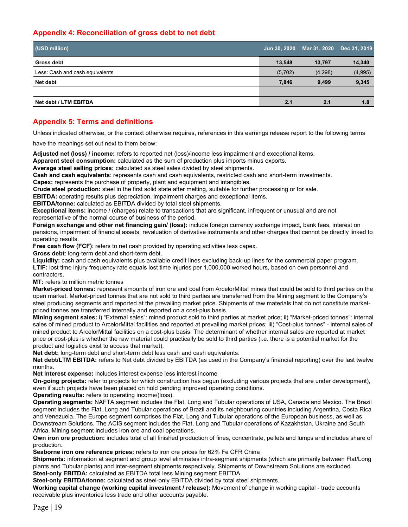# **Appendix 4: Reconciliation of gross debt to net debt**

| (USD million)                   |         | Jun 30, 2020 Mar 31, 2020 | Dec 31, 2019 |
|---------------------------------|---------|---------------------------|--------------|
| <b>Gross debt</b>               | 13,548  | 13,797                    | 14,340       |
| Less: Cash and cash equivalents | (5,702) | (4,298)                   | (4,995)      |
| Net debt                        | 7,846   | 9,499                     | 9,345        |
|                                 |         |                           |              |
| Net debt / LTM EBITDA           | 2.1     | 2.1                       | 1.8          |

## **Appendix 5: Terms and definitions**

Unless indicated otherwise, or the context otherwise requires, references in this earnings release report to the following terms

have the meanings set out next to them below:

**Adjusted net (loss) / income:** refers to reported net (loss)/income less impairment and exceptional items.

**Apparent steel consumption:** calculated as the sum of production plus imports minus exports.

**Average steel selling prices:** calculated as steel sales divided by steel shipments.

**Cash and cash equivalents**: represents cash and cash equivalents, restricted cash and short-term investments.

**Capex:** represents the purchase of property, plant and equipment and intangibles.

**Crude steel production:** steel in the first solid state after melting, suitable for further processing or for sale.

**EBITDA:** operating results plus depreciation, impairment charges and exceptional items.

**EBITDA/tonne:** calculated as EBITDA divided by total steel shipments.

**Exceptional items:** income / (charges) relate to transactions that are significant, infrequent or unusual and are not representative of the normal course of business of the period.

**Foreign exchange and other net financing gain/ (loss):** include foreign currency exchange impact, bank fees, interest on pensions, impairment of financial assets, revaluation of derivative instruments and other charges that cannot be directly linked to operating results.

**Free cash flow (FCF)**: refers to net cash provided by operating activities less capex.

**Gross debt**: long-term debt and short-term debt.

**Liquidity:** cash and cash equivalents plus available credit lines excluding back-up lines for the commercial paper program. **LTIF:** lost time injury frequency rate equals lost time injuries per 1,000,000 worked hours, based on own personnel and contractors.

**MT:** refers to million metric tonnes

**Market-priced tonnes:** represent amounts of iron ore and coal from ArcelorMittal mines that could be sold to third parties on the open market. Market-priced tonnes that are not sold to third parties are transferred from the Mining segment to the Company's steel producing segments and reported at the prevailing market price. Shipments of raw materials that do not constitute marketpriced tonnes are transferred internally and reported on a cost-plus basis.

**Mining segment sales:** i) "External sales": mined product sold to third parties at market price; ii) "Market-priced tonnes": internal sales of mined product to ArcelorMittal facilities and reported at prevailing market prices; iii) "Cost-plus tonnes" - internal sales of mined product to ArcelorMittal facilities on a cost-plus basis. The determinant of whether internal sales are reported at market price or cost-plus is whether the raw material could practically be sold to third parties (i.e. there is a potential market for the product and logistics exist to access that market).

**Net debt:** long-term debt and short-term debt less cash and cash equivalents.

**Net debt/LTM EBITDA:** refers to Net debt divided by EBITDA (as used in the Company's financial reporting) over the last twelve months.

**Net interest expense:** includes interest expense less interest income

**On-going projects:** refer to projects for which construction has begun (excluding various projects that are under development), even if such projects have been placed on hold pending improved operating conditions.

**Operating results:** refers to operating income/(loss).

**Operating segments:** NAFTA segment includes the Flat, Long and Tubular operations of USA, Canada and Mexico. The Brazil segment includes the Flat, Long and Tubular operations of Brazil and its neighbouring countries including Argentina, Costa Rica and Venezuela. The Europe segment comprises the Flat, Long and Tubular operations of the European business, as well as Downstream Solutions. The ACIS segment includes the Flat, Long and Tubular operations of Kazakhstan, Ukraine and South Africa. Mining segment includes iron ore and coal operations.

**Own iron ore production:** includes total of all finished production of fines, concentrate, pellets and lumps and includes share of production.

**Seaborne iron ore reference prices:** refers to iron ore prices for 62% Fe CFR China

**Shipments:** information at segment and group level eliminates intra-segment shipments (which are primarily between Flat/Long plants and Tubular plants) and inter-segment shipments respectively. Shipments of Downstream Solutions are excluded.

**Steel-only EBITDA:** calculated as EBITDA total less Mining segment EBITDA.

**Steel-only EBITDA/tonne:** calculated as steel-only EBITDA divided by total steel shipments.

**Working capital change (working capital investment / release):** Movement of change in working capital - trade accounts receivable plus inventories less trade and other accounts payable.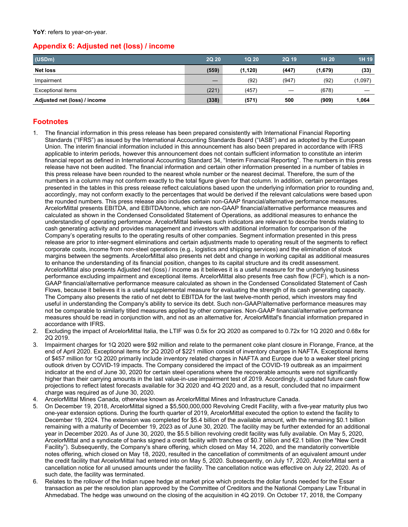| (USDm)                       | <b>2Q 20</b> | <b>1Q 20</b> | 2Q 19 | 1H 20   | 1H 19   |
|------------------------------|--------------|--------------|-------|---------|---------|
| <b>Net loss</b>              | (559)        | (1, 120)     | (447) | (1,679) | (33)    |
| Impairment                   |              | (92)         | (947) | (92)    | (1,097) |
| Exceptional items            | (221)        | (457)        |       | (678)   |         |
| Adjusted net (loss) / income | (338)        | (571)        | 500   | (909)   | 1,064   |

## **Appendix 6: Adjusted net (loss) / income**

## **Footnotes**

- 1. The financial information in this press release has been prepared consistently with International Financial Reporting Standards ("IFRS") as issued by the International Accounting Standards Board ("IASB") and as adopted by the European Union. The interim financial information included in this announcement has also been prepared in accordance with IFRS applicable to interim periods, however this announcement does not contain sufficient information to constitute an interim financial report as defined in International Accounting Standard 34, "Interim Financial Reporting". The numbers in this press release have not been audited. The financial information and certain other information presented in a number of tables in this press release have been rounded to the nearest whole number or the nearest decimal. Therefore, the sum of the numbers in a column may not conform exactly to the total figure given for that column. In addition, certain percentages presented in the tables in this press release reflect calculations based upon the underlying information prior to rounding and, accordingly, may not conform exactly to the percentages that would be derived if the relevant calculations were based upon the rounded numbers. This press release also includes certain non-GAAP financial/alternative performance measures. ArcelorMittal presents EBITDA, and EBITDA/tonne, which are non-GAAP financial/alternative performance measures and calculated as shown in the Condensed Consolidated Statement of Operations, as additional measures to enhance the understanding of operating performance. ArcelorMittal believes such indicators are relevant to describe trends relating to cash generating activity and provides management and investors with additional information for comparison of the Company's operating results to the operating results of other companies. Segment information presented in this press release are prior to inter-segment eliminations and certain adjustments made to operating result of the segments to reflect corporate costs, income from non-steel operations (e.g., logistics and shipping services) and the elimination of stock margins between the segments. ArcelorMittal also presents net debt and change in working capital as additional measures to enhance the understanding of its financial position, changes to its capital structure and its credit assessment. ArcelorMittal also presents Adjusted net (loss) / income as it believes it is a useful measure for the underlying business performance excluding impairment and exceptional items. ArcelorMittal also presents free cash flow (FCF), which is a non-GAAP financial/alternative performance measure calculated as shown in the Condensed Consolidated Statement of Cash Flows, because it believes it is a useful supplemental measure for evaluating the strength of its cash generating capacity. The Company also presents the ratio of net debt to EBITDA for the last twelve-month period, which investors may find useful in understanding the Company's ability to service its debt. Such non-GAAP/alternative performance measures may not be comparable to similarly titled measures applied by other companies. Non-GAAP financial/alternative performance measures should be read in conjunction with, and not as an alternative for, ArcelorMittal's financial information prepared in accordance with IFRS.
- 2. Excluding the impact of ArcelorMittal Italia, the LTIF was 0.5x for 2Q 2020 as compared to 0.72x for 1Q 2020 and 0.68x for 2Q 2019.
- 3. Impairment charges for 1Q 2020 were \$92 million and relate to the permanent coke plant closure in Florange, France, at the end of April 2020. Exceptional items for 2Q 2020 of \$221 million consist of inventory charges in NAFTA. Exceptional items of \$457 million for 1Q 2020 primarily include inventory related charges in NAFTA and Europe due to a weaker steel pricing outlook driven by COVID-19 impacts. The Company considered the impact of the COVID-19 outbreak as an impairment indicator at the end of June 30, 2020 for certain steel operations where the recoverable amounts were not significantly higher than their carrying amounts in the last value-in-use impairment test of 2019. Accordingly, it updated future cash flow projections to reflect latest forecasts available for 3Q 2020 and 4Q 2020 and, as a result, concluded that no impairment charge was required as of June 30, 2020.
- 4. ArcelorMittal Mines Canada, otherwise known as ArcelorMittal Mines and Infrastructure Canada.
- 5. On December 19, 2018, ArcelorMittal signed a \$5,500,000,000 Revolving Credit Facility, with a five-year maturity plus two one-year extension options. During the fourth quarter of 2019, ArcelorMittal executed the option to extend the facility to December 19, 2024. The extension was completed for \$5.4 billion of the available amount, with the remaining \$0.1 billion remaining with a maturity of December 19, 2023 as of June 30, 2020. The facility may be further extended for an additional year in December 2020. As of June 30, 2020, the \$5.5 billion revolving credit facility was fully available. On May 5, 2020, ArcelorMittal and a syndicate of banks signed a credit facility with tranches of \$0.7 billion and €2.1 billion (the "New Credit Facility"). Subsequently, the Company's share offering, which closed on May 14, 2020, and the mandatorily convertible notes offering, which closed on May 18, 2020, resulted in the cancellation of commitments of an equivalent amount under the credit facility that ArcelorMittal had entered into on May 5, 2020. Subsequently, on July 17, 2020, ArcelorMittal sent a cancellation notice for all unused amounts under the facility. The cancellation notice was effective on July 22, 2020. As of such date, the facility was terminated.
- 6. Relates to the rollover of the Indian rupee hedge at market price which protects the dollar funds needed for the Essar transaction as per the resolution plan approved by the Committee of Creditors and the National Company Law Tribunal in Ahmedabad. The hedge was unwound on the closing of the acquisition in 4Q 2019. On October 17, 2018, the Company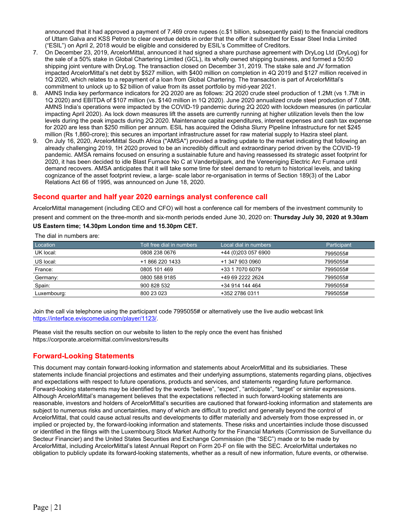announced that it had approved a payment of 7,469 crore rupees (c.\$1 billion, subsequently paid) to the financial creditors of Uttam Galva and KSS Petron to clear overdue debts in order that the offer it submitted for Essar Steel India Limited ("ESIL") on April 2, 2018 would be eligible and considered by ESIL's Committee of Creditors.

- 7. On December 23, 2019, ArcelorMittal, announced it had signed a share purchase agreement with DryLog Ltd (DryLog) for the sale of a 50% stake in Global Chartering Limited (GCL), its wholly owned shipping business, and formed a 50:50 shipping joint venture with DryLog. The transaction closed on December 31, 2019. The stake sale and JV formation impacted ArcelorMittal's net debt by \$527 million, with \$400 million on completion in 4Q 2019 and \$127 million received in 1Q 2020, which relates to a repayment of a loan from Global Chartering. The transaction is part of ArcelorMittal's commitment to unlock up to \$2 billion of value from its asset portfolio by mid-year 2021.
- 8. AMNS India key performance indicators for 2Q 2020 are as follows: 2Q 2020 crude steel production of 1.2Mt (vs 1.7Mt in 1Q 2020) and EBITDA of \$107 million (vs. \$140 million in 1Q 2020). June 2020 annualized crude steel production of 7.0Mt. AMNS India's operations were impacted by the COVID-19 pandemic during 2Q 2020 with lockdown measures (in particular impacting April 2020). As lock down measures lift the assets are currently running at higher utilization levels then the low levels during the peak impacts during 2Q 2020. Maintenance capital expenditures, interest expenses and cash tax expense for 2020 are less than \$250 million per annum. ESIL has acquired the Odisha Slurry Pipeline Infrastructure for net \$245 million (Rs 1,860-crore); this secures an important infrastructure asset for raw material supply to Hazira steel plant.
- 9. On July 16, 2020, ArcelorMittal South Africa ("AMSA") provided a trading update to the market indicating that following an already challenging 2019, 1H 2020 proved to be an incredibly difficult and extraordinary period driven by the COVID-19 pandemic. AMSA remains focused on ensuring a sustainable future and having reassessed its strategic asset footprint for 2020, it has been decided to idle Blast Furnace No C at Vanderbijlpark, and the Vereeniging Electric Arc Furnace until demand recovers. AMSA anticipates that it will take some time for steel demand to return to historical levels, and taking cognizance of the asset footprint review, a large- scale labor re-organisation in terms of Section 189(3) of the Labor Relations Act 66 of 1995, was announced on June 18, 2020.

## **Second quarter and half year 2020 earnings analyst conference call**

ArcelorMittal management (including CEO and CFO) will host a conference call for members of the investment community to present and comment on the three-month and six-month periods ended June 30, 2020 on: **Thursday July 30, 2020 at 9.30am** 

## **US Eastern time; 14.30pm London time and 15.30pm CET.**

The dial in numbers are:

| Location    | Toll free dial in numbers | Local dial in numbers | Participant |
|-------------|---------------------------|-----------------------|-------------|
| UK local:   | 0808 238 0676             | +44 (0)203 057 6900   | 7995055#    |
| US local:   | +1 866 220 1433           | +1 347 903 0960       | 7995055#    |
| France:     | 0805 101 469              | +33 1 7070 6079       | 7995055#    |
| Germany:    | 0800 588 9185             | +49 69 2222 2624      | 7995055#    |
| Spain:      | 900 828 532               | +34 914 144 464       | 7995055#    |
| Luxembourg: | 800 23 023                | +352 2786 0311        | 7995055#    |

Join the call via telephone using the participant code 7995055# or alternatively use the live audio webcast link [https://interface.eviscomedia.com/player/1123/.](https://interface.eviscomedia.com/player/1123/)

Please visit the results section on our website to listen to the reply once the event has finished <https://corporate.arcelormittal.com/investors/results>

## **Forward-Looking Statements**

This document may contain forward-looking information and statements about ArcelorMittal and its subsidiaries. These statements include financial projections and estimates and their underlying assumptions, statements regarding plans, objectives and expectations with respect to future operations, products and services, and statements regarding future performance. Forward-looking statements may be identified by the words "believe", "expect", "anticipate", "target" or similar expressions. Although ArcelorMittal's management believes that the expectations reflected in such forward-looking statements are reasonable, investors and holders of ArcelorMittal's securities are cautioned that forward-looking information and statements are subject to numerous risks and uncertainties, many of which are difficult to predict and generally beyond the control of ArcelorMittal, that could cause actual results and developments to differ materially and adversely from those expressed in, or implied or projected by, the forward-looking information and statements. These risks and uncertainties include those discussed or identified in the filings with the Luxembourg Stock Market Authority for the Financial Markets (Commission de Surveillance du Secteur Financier) and the United States Securities and Exchange Commission (the "SEC") made or to be made by ArcelorMittal, including ArcelorMittal's latest Annual Report on Form 20-F on file with the SEC. ArcelorMittal undertakes no obligation to publicly update its forward-looking statements, whether as a result of new information, future events, or otherwise.